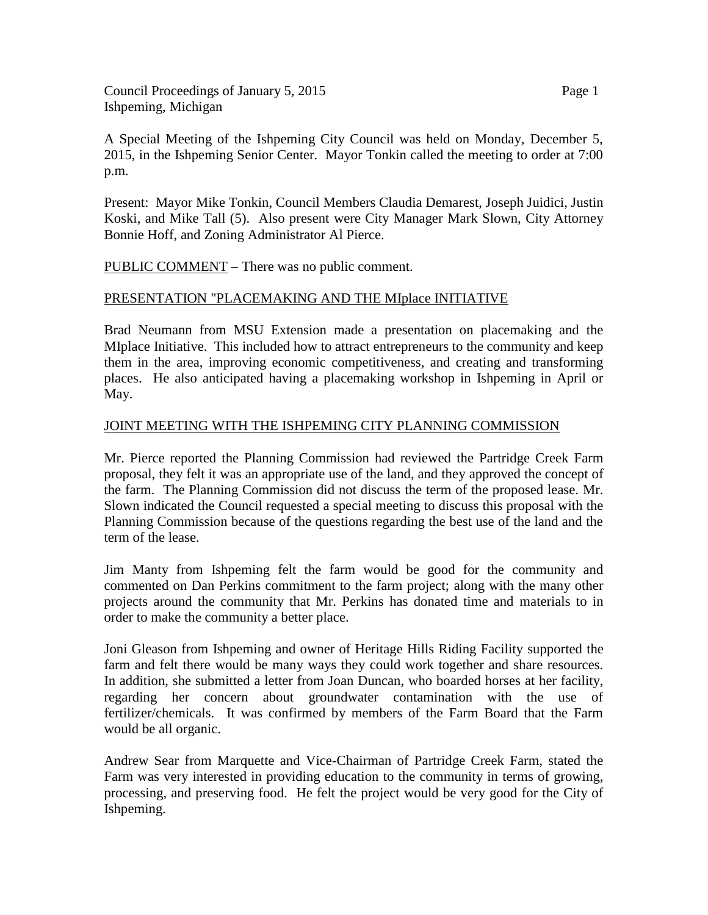Council Proceedings of January 5, 2015 Page 1 Ishpeming, Michigan

A Special Meeting of the Ishpeming City Council was held on Monday, December 5, 2015, in the Ishpeming Senior Center. Mayor Tonkin called the meeting to order at 7:00 p.m.

Present: Mayor Mike Tonkin, Council Members Claudia Demarest, Joseph Juidici, Justin Koski, and Mike Tall (5). Also present were City Manager Mark Slown, City Attorney Bonnie Hoff, and Zoning Administrator Al Pierce.

PUBLIC COMMENT – There was no public comment.

## PRESENTATION "PLACEMAKING AND THE MIplace INITIATIVE

Brad Neumann from MSU Extension made a presentation on placemaking and the MIplace Initiative. This included how to attract entrepreneurs to the community and keep them in the area, improving economic competitiveness, and creating and transforming places. He also anticipated having a placemaking workshop in Ishpeming in April or May.

## JOINT MEETING WITH THE ISHPEMING CITY PLANNING COMMISSION

Mr. Pierce reported the Planning Commission had reviewed the Partridge Creek Farm proposal, they felt it was an appropriate use of the land, and they approved the concept of the farm. The Planning Commission did not discuss the term of the proposed lease. Mr. Slown indicated the Council requested a special meeting to discuss this proposal with the Planning Commission because of the questions regarding the best use of the land and the term of the lease.

Jim Manty from Ishpeming felt the farm would be good for the community and commented on Dan Perkins commitment to the farm project; along with the many other projects around the community that Mr. Perkins has donated time and materials to in order to make the community a better place.

Joni Gleason from Ishpeming and owner of Heritage Hills Riding Facility supported the farm and felt there would be many ways they could work together and share resources. In addition, she submitted a letter from Joan Duncan, who boarded horses at her facility, regarding her concern about groundwater contamination with the use of fertilizer/chemicals. It was confirmed by members of the Farm Board that the Farm would be all organic.

Andrew Sear from Marquette and Vice-Chairman of Partridge Creek Farm, stated the Farm was very interested in providing education to the community in terms of growing, processing, and preserving food. He felt the project would be very good for the City of Ishpeming.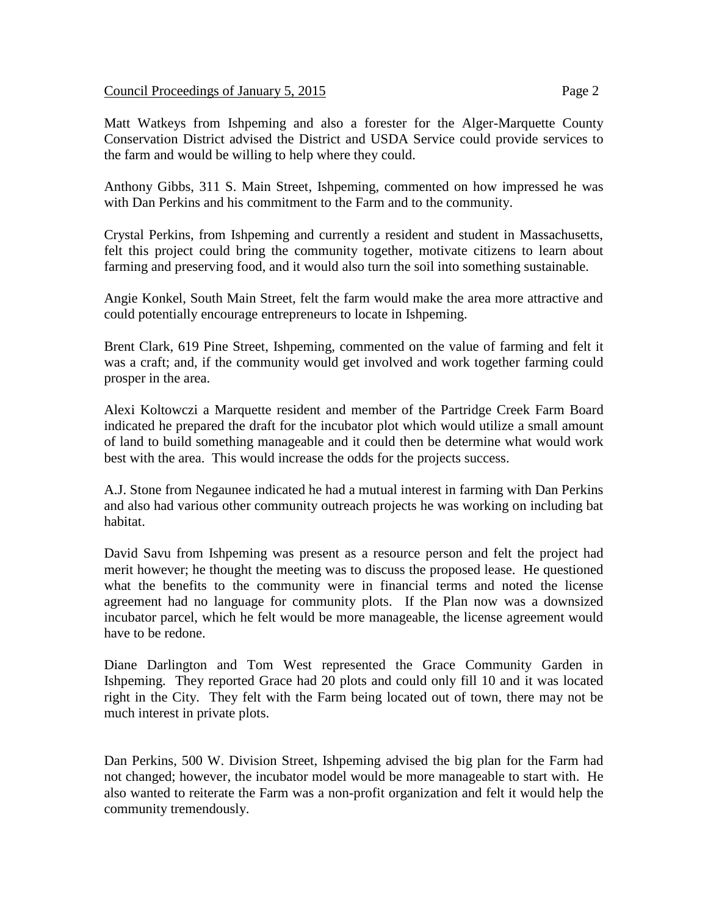## Council Proceedings of January 5, 2015 Page 2

Matt Watkeys from Ishpeming and also a forester for the Alger-Marquette County Conservation District advised the District and USDA Service could provide services to the farm and would be willing to help where they could.

Anthony Gibbs, 311 S. Main Street, Ishpeming, commented on how impressed he was with Dan Perkins and his commitment to the Farm and to the community.

Crystal Perkins, from Ishpeming and currently a resident and student in Massachusetts, felt this project could bring the community together, motivate citizens to learn about farming and preserving food, and it would also turn the soil into something sustainable.

Angie Konkel, South Main Street, felt the farm would make the area more attractive and could potentially encourage entrepreneurs to locate in Ishpeming.

Brent Clark, 619 Pine Street, Ishpeming, commented on the value of farming and felt it was a craft; and, if the community would get involved and work together farming could prosper in the area.

Alexi Koltowczi a Marquette resident and member of the Partridge Creek Farm Board indicated he prepared the draft for the incubator plot which would utilize a small amount of land to build something manageable and it could then be determine what would work best with the area. This would increase the odds for the projects success.

A.J. Stone from Negaunee indicated he had a mutual interest in farming with Dan Perkins and also had various other community outreach projects he was working on including bat habitat.

David Savu from Ishpeming was present as a resource person and felt the project had merit however; he thought the meeting was to discuss the proposed lease. He questioned what the benefits to the community were in financial terms and noted the license agreement had no language for community plots. If the Plan now was a downsized incubator parcel, which he felt would be more manageable, the license agreement would have to be redone.

Diane Darlington and Tom West represented the Grace Community Garden in Ishpeming. They reported Grace had 20 plots and could only fill 10 and it was located right in the City. They felt with the Farm being located out of town, there may not be much interest in private plots.

Dan Perkins, 500 W. Division Street, Ishpeming advised the big plan for the Farm had not changed; however, the incubator model would be more manageable to start with. He also wanted to reiterate the Farm was a non-profit organization and felt it would help the community tremendously.